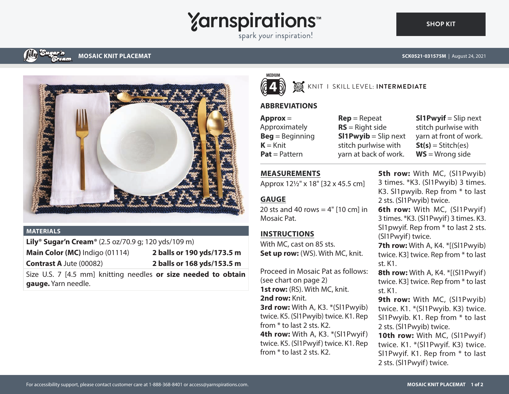# **Yarnspirations**

spark your inspiration!

# **MOSAIC KNIT PLACEMAT**



#### **MATERIALS**

**Lily® Sugar'n Cream®** (2.5 oz/70.9 g; 120 yds/109 m) **Main Color (MC)** Indigo (01114) **2 balls or 190 yds/173.5 m**

**Contrast A** Jute (00082) **2 balls or 168 yds/153.5 m**

Size U.S. 7 [4.5 mm] knitting needles **or size needed to obtain gauge.** Yarn needle.



## KNIT I SKILL LEVEL: **INTERMEDIATE**

## **ABBREVIATIONS**

**Approx** = Approximately **Beg** = Beginning  $K = Knit$ **Pat** = Pattern

**Rep** = Repeat **RS** = Right side **Sl1Pwyib** = Slip next stitch purlwise with yarn at back of work.

**Sl1Pwyif** = Slip next stitch purlwise with yarn at front of work.  $St(s) = Stitch(es)$ **WS** = Wrong side

#### **MEASUREMENTS**

Approx 12½" x 18" [32 x 45.5 cm]

# **GAUGE**

20 sts and 40 rows  $=$  4" [10 cm] in Mosaic Pat.

# **INSTRUCTIONS**

With MC, cast on 85 sts. **Set up row:** (WS). With MC, knit.

Proceed in Mosaic Pat as follows: (see chart on page 2) **1st row:** (RS). With MC, knit. **2nd row:** Knit. **3rd row:** With A, K3. \*(Sl1Pwyib) twice. K5. (Sl1Pwyib) twice. K1. Rep from \* to last 2 sts. K2. **4th row:** With A, K3. \* (Sl1Pwyif) twice. K5. (Sl1Pwyif) twice. K1. Rep from \* to last 2 sts. K2.

**5th row:** With MC, (Sl1Pwyib) 3 times. \*K3. (Sl1Pwyib) 3 times. K3. Sl1pwyib. Rep from \* to last 2 sts. (Sl1Pwyib) twice.

**6th row:** With MC, (Sl1Pwyif) 3 times. \*K3. (Sl1Pwyif) 3 times. K3. Sl1pwyif. Rep from \* to last 2 sts. (Sl1Pwyif) twice.

**7th row:** With A, K4. \*[(Sl1Pwyib) twice. K3] twice. Rep from \* to last st. K1.

**8th row:** With A, K4. \*[(Sl1Pwyif) twice. K3] twice. Rep from \* to last st. K1.

**9th row:** With MC, (Sl1Pwyib) twice. K1. \*(Sl1Pwyib. K3) twice. Sl1Pwyib. K1. Rep from \* to last 2 sts. (Sl1Pwyib) twice.

10th row: With MC, (Sl1Pwyif) twice. K1. \*(Sl1Pwyif. K3) twice. Sl1Pwyif. K1. Rep from \* to last 2 sts. (Sl1Pwyif) twice.